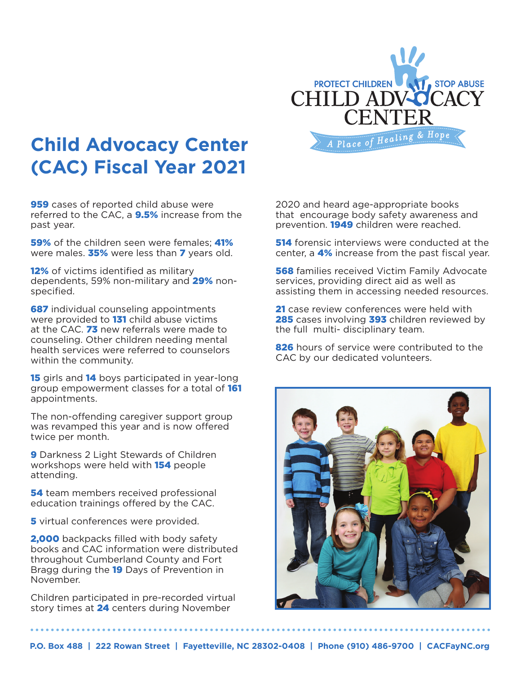

# **Child Advocacy Center (CAC) Fiscal Year 2021**

**959** cases of reported child abuse were referred to the CAC, a **9.5%** increase from the past year.

59% of the children seen were females; 41% were males.  $35%$  were less than  $7$  years old.

12% of victims identified as military dependents, 59% non-military and 29% nonspecified.

**687** individual counseling appointments were provided to **131** child abuse victims at the CAC. 73 new referrals were made to counseling. Other children needing mental health services were referred to counselors within the community.

15 girls and 14 boys participated in year-long group empowerment classes for a total of 161 appointments.

The non-offending caregiver support group was revamped this year and is now offered twice per month.

**9 Darkness 2 Light Stewards of Children** workshops were held with 154 people attending.

**54** team members received professional education trainings offered by the CAC.

**5** virtual conferences were provided.

2,000 backpacks filled with body safety books and CAC information were distributed throughout Cumberland County and Fort Bragg during the 19 Days of Prevention in November.

Children participated in pre-recorded virtual story times at 24 centers during November

2020 and heard age-appropriate books that encourage body safety awareness and prevention. **1949** children were reached.

**514** forensic interviews were conducted at the center, a 4% increase from the past fiscal year.

**568** families received Victim Family Advocate services, providing direct aid as well as assisting them in accessing needed resources.

21 case review conferences were held with 285 cases involving 393 children reviewed by the full multi- disciplinary team.

826 hours of service were contributed to the CAC by our dedicated volunteers.